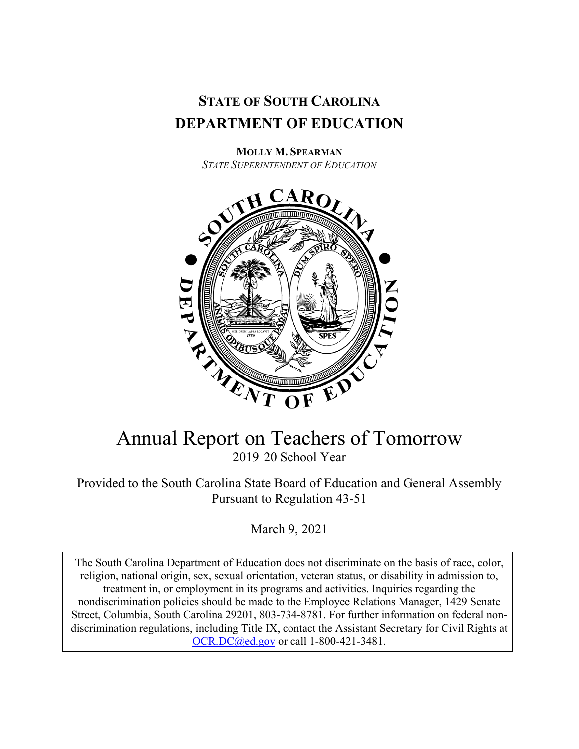

**MOLLY M. SPEARMAN** *STATE SUPERINTENDENT OF EDUCATION*



# Annual Report on Teachers of Tomorrow 2019–20 School Year

Provided to the South Carolina State Board of Education and General Assembly Pursuant to Regulation 43-51

March 9, 2021

The South Carolina Department of Education does not discriminate on the basis of race, color, religion, national origin, sex, sexual orientation, veteran status, or disability in admission to, treatment in, or employment in its programs and activities. Inquiries regarding the nondiscrimination policies should be made to the Employee Relations Manager, 1429 Senate Street, Columbia, South Carolina 29201, 803-734-8781. For further information on federal nondiscrimination regulations, including Title IX, contact the Assistant Secretary for Civil Rights at [OCR.DC@ed.gov](mailto:OCR.DC@ed.gov) or call 1-800-421-3481.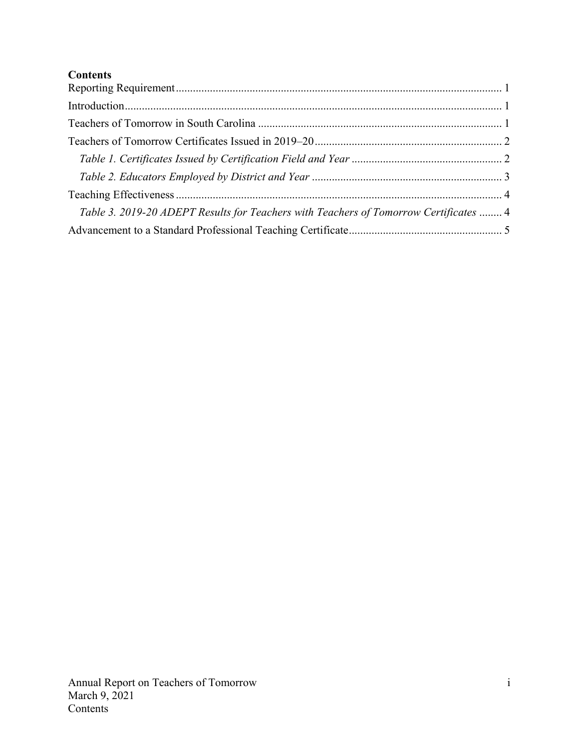# **Contents**

| Table 3. 2019-20 ADEPT Results for Teachers with Teachers of Tomorrow Certificates  4 |  |
|---------------------------------------------------------------------------------------|--|
|                                                                                       |  |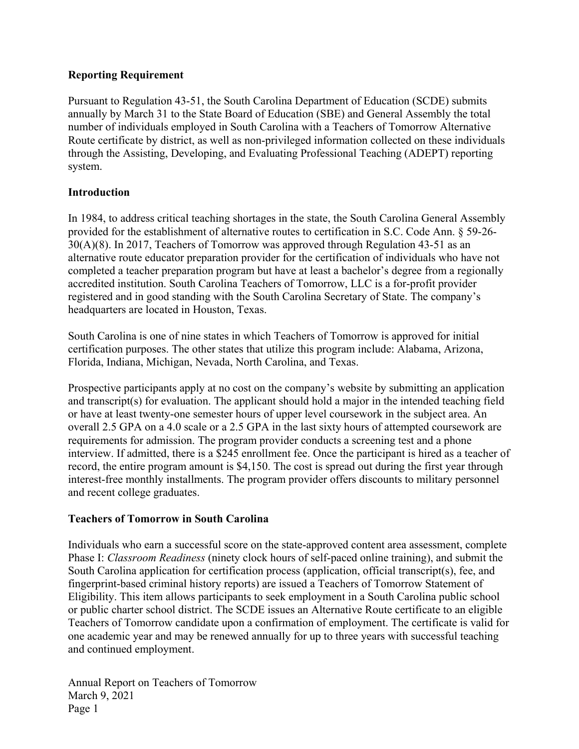### <span id="page-2-0"></span>**Reporting Requirement**

Pursuant to Regulation 43-51, the South Carolina Department of Education (SCDE) submits annually by March 31 to the State Board of Education (SBE) and General Assembly the total number of individuals employed in South Carolina with a Teachers of Tomorrow Alternative Route certificate by district, as well as non-privileged information collected on these individuals through the Assisting, Developing, and Evaluating Professional Teaching (ADEPT) reporting system.

### <span id="page-2-1"></span>**Introduction**

In 1984, to address critical teaching shortages in the state, the South Carolina General Assembly provided for the establishment of alternative routes to certification in S.C. Code Ann. § 59-26- 30(A)(8). In 2017, Teachers of Tomorrow was approved through Regulation 43-51 as an alternative route educator preparation provider for the certification of individuals who have not completed a teacher preparation program but have at least a bachelor's degree from a regionally accredited institution. South Carolina Teachers of Tomorrow, LLC is a for-profit provider registered and in good standing with the South Carolina Secretary of State. The company's headquarters are located in Houston, Texas.

South Carolina is one of nine states in which Teachers of Tomorrow is approved for initial certification purposes. The other states that utilize this program include: Alabama, Arizona, Florida, Indiana, Michigan, Nevada, North Carolina, and Texas.

Prospective participants apply at no cost on the company's website by submitting an application and transcript(s) for evaluation. The applicant should hold a major in the intended teaching field or have at least twenty-one semester hours of upper level coursework in the subject area. An overall 2.5 GPA on a 4.0 scale or a 2.5 GPA in the last sixty hours of attempted coursework are requirements for admission. The program provider conducts a screening test and a phone interview. If admitted, there is a \$245 enrollment fee. Once the participant is hired as a teacher of record, the entire program amount is \$4,150. The cost is spread out during the first year through interest-free monthly installments. The program provider offers discounts to military personnel and recent college graduates.

### <span id="page-2-2"></span>**Teachers of Tomorrow in South Carolina**

Individuals who earn a successful score on the state-approved content area assessment, complete Phase I: *Classroom Readiness* (ninety clock hours of self-paced online training), and submit the South Carolina application for certification process (application, official transcript(s), fee, and fingerprint-based criminal history reports) are issued a Teachers of Tomorrow Statement of Eligibility. This item allows participants to seek employment in a South Carolina public school or public charter school district. The SCDE issues an Alternative Route certificate to an eligible Teachers of Tomorrow candidate upon a confirmation of employment. The certificate is valid for one academic year and may be renewed annually for up to three years with successful teaching and continued employment.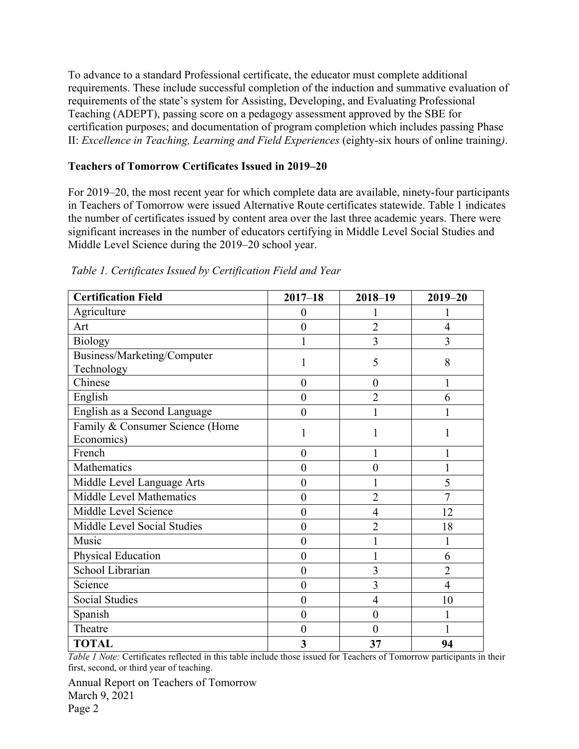To advance to a standard Professional certificate, the educator must complete additional requirements. These include successful completion of the induction and summative evaluation of requirements of the state's system for Assisting, Developing, and Evaluating Professional Teaching (ADEPT), passing score on a pedagogy assessment approved by the SBE for certification purposes; and documentation of program completion which includes passing Phase II: *Excellence in Teaching, Learning and Field Experiences* (eighty-six hours of online training*)*.

## <span id="page-3-0"></span>**Teachers of Tomorrow Certificates Issued in 2019–20**

For 2019–20, the most recent year for which complete data are available, ninety-four participants in Teachers of Tomorrow were issued Alternative Route certificates statewide. Table 1 indicates the number of certificates issued by content area over the last three academic years. There were significant increases in the number of educators certifying in Middle Level Social Studies and Middle Level Science during the 2019–20 school year.

| <b>Certification Field</b>                    | $2017 - 18$             | $2018 - 19$    | $2019 - 20$    |
|-----------------------------------------------|-------------------------|----------------|----------------|
| Agriculture                                   | $\boldsymbol{0}$        |                |                |
| Art                                           | $\boldsymbol{0}$        | $\overline{2}$ | $\overline{4}$ |
| <b>Biology</b>                                | 1                       | $\overline{3}$ | 3              |
| Business/Marketing/Computer<br>Technology     | 1                       | 5              | 8              |
| Chinese                                       | $\overline{0}$          | $\overline{0}$ | 1              |
| English                                       | $\boldsymbol{0}$        | $\overline{2}$ | 6              |
| English as a Second Language                  | $\overline{0}$          |                |                |
| Family & Consumer Science (Home<br>Economics) | 1                       |                |                |
| French                                        | $\overline{0}$          |                |                |
| Mathematics                                   | $\overline{0}$          | $\theta$       |                |
| Middle Level Language Arts                    | $\boldsymbol{0}$        |                | 5              |
| Middle Level Mathematics                      | $\overline{0}$          | $\overline{2}$ | $\overline{7}$ |
| Middle Level Science                          | $\overline{0}$          | 4              | 12             |
| Middle Level Social Studies                   | $\boldsymbol{0}$        | $\overline{2}$ | 18             |
| Music                                         | $\boldsymbol{0}$        |                | 1              |
| Physical Education                            | $\boldsymbol{0}$        |                | 6              |
| School Librarian                              | $\boldsymbol{0}$        | 3              | $\overline{2}$ |
| Science                                       | $\boldsymbol{0}$        | $\overline{3}$ | $\overline{4}$ |
| <b>Social Studies</b>                         | $\overline{0}$          | $\overline{4}$ | 10             |
| Spanish                                       | $\overline{0}$          | $\overline{0}$ |                |
| Theatre                                       | $\boldsymbol{0}$        | $\theta$       |                |
| <b>TOTAL</b>                                  | $\overline{\mathbf{3}}$ | 37             | 94             |

<span id="page-3-1"></span>*Table 1. Certificates Issued by Certification Field and Year*

*Table 1 Note:* Certificates reflected in this table include those issued for Teachers of Tomorrow participants in their first, second, or third year of teaching.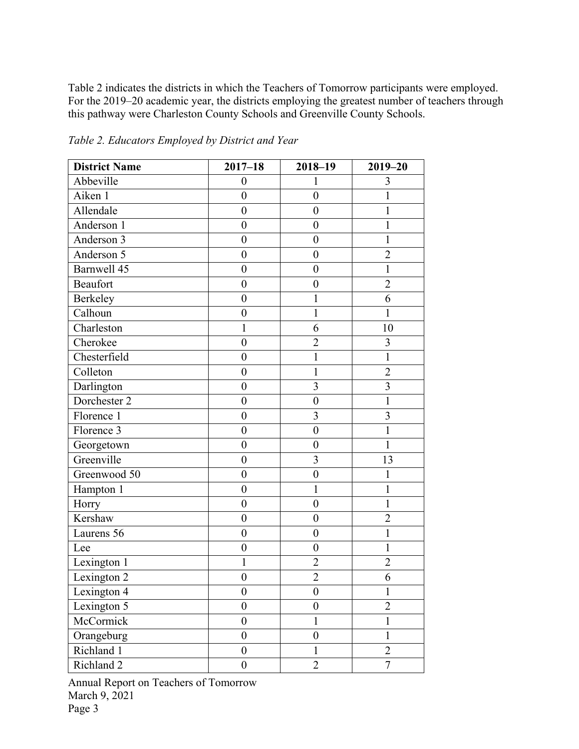Table 2 indicates the districts in which the Teachers of Tomorrow participants were employed. For the 2019–20 academic year, the districts employing the greatest number of teachers through this pathway were Charleston County Schools and Greenville County Schools.

| <b>District Name</b>  | $2017 - 18$      | 2018-19          | $2019 - 20$    |
|-----------------------|------------------|------------------|----------------|
| Abbeville             | $\boldsymbol{0}$ | 1                | 3              |
| Aiken 1               | $\boldsymbol{0}$ | $\boldsymbol{0}$ | 1              |
| Allendale             | $\boldsymbol{0}$ | $\boldsymbol{0}$ | 1              |
| Anderson 1            | $\boldsymbol{0}$ | $\boldsymbol{0}$ | 1              |
| Anderson 3            | $\boldsymbol{0}$ | $\boldsymbol{0}$ | 1              |
| Anderson 5            | $\boldsymbol{0}$ | $\boldsymbol{0}$ | $\overline{2}$ |
| Barnwell 45           | $\boldsymbol{0}$ | $\boldsymbol{0}$ | 1              |
| <b>Beaufort</b>       | $\boldsymbol{0}$ | $\boldsymbol{0}$ | $\overline{c}$ |
| Berkeley              | $\boldsymbol{0}$ | 1                | 6              |
| Calhoun               | $\boldsymbol{0}$ | 1                |                |
| Charleston            | 1                | 6                | 10             |
| Cherokee              | $\boldsymbol{0}$ | $\overline{2}$   | 3              |
| Chesterfield          | $\boldsymbol{0}$ | 1                | 1              |
| Colleton              | $\boldsymbol{0}$ | 1                | $\overline{2}$ |
| Darlington            | $\boldsymbol{0}$ | 3                | $\overline{3}$ |
| Dorchester 2          | $\boldsymbol{0}$ | $\boldsymbol{0}$ | 1              |
| Florence 1            | $\boldsymbol{0}$ | 3                | 3              |
| Florence 3            | $\boldsymbol{0}$ | $\boldsymbol{0}$ | $\mathbf{1}$   |
| Georgetown            | $\boldsymbol{0}$ | $\boldsymbol{0}$ | 1              |
| Greenville            | $\boldsymbol{0}$ | 3                | 13             |
| Greenwood 50          | $\boldsymbol{0}$ | $\boldsymbol{0}$ | 1              |
| Hampton 1             | $\boldsymbol{0}$ | 1                | 1              |
| Horry                 | $\boldsymbol{0}$ | $\boldsymbol{0}$ | 1              |
| Kershaw               | $\boldsymbol{0}$ | $\boldsymbol{0}$ | $\overline{2}$ |
| Laurens 56            | $\boldsymbol{0}$ | $\boldsymbol{0}$ | $\mathbf{1}$   |
| Lee                   | $\boldsymbol{0}$ | $\boldsymbol{0}$ | $\mathbf{1}$   |
| Lexington 1           | 1                | $\overline{2}$   | $\overline{2}$ |
| Lexington 2           | $\boldsymbol{0}$ | $\overline{2}$   | 6              |
| Lexington 4           | $\boldsymbol{0}$ | $\boldsymbol{0}$ | 1              |
| Lexington 5           | $\boldsymbol{0}$ | $\boldsymbol{0}$ | $\overline{2}$ |
| McCormick             | $\boldsymbol{0}$ | $\mathbf{1}$     | $\mathbf{1}$   |
| Orangeburg            | $\boldsymbol{0}$ | $\boldsymbol{0}$ | $\mathbf{1}$   |
| Richland 1            | $\boldsymbol{0}$ | $\mathbf{1}$     | $\overline{2}$ |
| Richland <sub>2</sub> | $\boldsymbol{0}$ | $\overline{2}$   | $\overline{7}$ |

<span id="page-4-0"></span>*Table 2. Educators Employed by District and Year*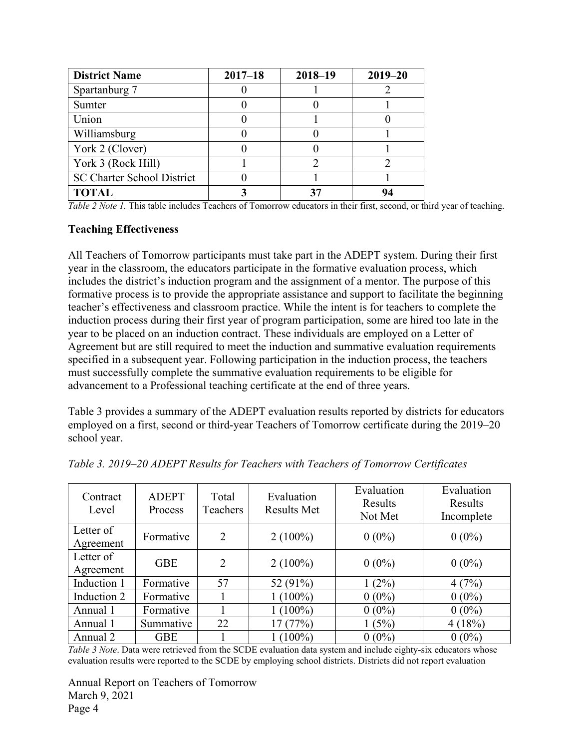| <b>District Name</b>              | $2017 - 18$ | $2018 - 19$ | $2019 - 20$ |
|-----------------------------------|-------------|-------------|-------------|
| Spartanburg 7                     |             |             |             |
| Sumter                            |             |             |             |
| Union                             |             |             |             |
| Williamsburg                      |             |             |             |
| York 2 (Clover)                   |             |             |             |
| York 3 (Rock Hill)                |             |             |             |
| <b>SC Charter School District</b> |             |             |             |
| <b>TOTAL</b>                      |             | 37          |             |

*Table 2 Note 1*. This table includes Teachers of Tomorrow educators in their first, second, or third year of teaching.

#### <span id="page-5-0"></span>**Teaching Effectiveness**

All Teachers of Tomorrow participants must take part in the ADEPT system. During their first year in the classroom, the educators participate in the formative evaluation process, which includes the district's induction program and the assignment of a mentor. The purpose of this formative process is to provide the appropriate assistance and support to facilitate the beginning teacher's effectiveness and classroom practice. While the intent is for teachers to complete the induction process during their first year of program participation, some are hired too late in the year to be placed on an induction contract. These individuals are employed on a Letter of Agreement but are still required to meet the induction and summative evaluation requirements specified in a subsequent year. Following participation in the induction process, the teachers must successfully complete the summative evaluation requirements to be eligible for advancement to a Professional teaching certificate at the end of three years.

Table 3 provides a summary of the ADEPT evaluation results reported by districts for educators employed on a first, second or third-year Teachers of Tomorrow certificate during the 2019–20 school year.

| Contract<br>Level      | <b>ADEPT</b><br>Process | Total<br>Teachers | Evaluation<br><b>Results Met</b> | Evaluation<br>Results<br>Not Met | Evaluation<br>Results<br>Incomplete |
|------------------------|-------------------------|-------------------|----------------------------------|----------------------------------|-------------------------------------|
| Letter of<br>Agreement | Formative               | 2                 | $2(100\%)$                       | $0(0\%)$                         | $0(0\%)$                            |
| Letter of<br>Agreement | <b>GBE</b>              | $\overline{2}$    | $2(100\%)$                       | $0(0\%)$                         | $0(0\%)$                            |
| Induction 1            | Formative               | 57                | 52 (91%)                         | $1(2\%)$                         | 4(7%)                               |
| Induction 2            | Formative               |                   | $1(100\%)$                       | $0(0\%)$                         | $0(0\%)$                            |
| Annual 1               | Formative               |                   | $1(100\%)$                       | $0(0\%)$                         | $0(0\%)$                            |
| Annual 1               | Summative               | 22                | 17(77%)                          | 1(5%)                            | 4(18%)                              |
| Annual 2               | <b>GBE</b>              |                   | $1(100\%)$                       | $0(0\%)$                         | $0(0\%)$                            |

<span id="page-5-1"></span>*Table 3. 2019*–*20 ADEPT Results for Teachers with Teachers of Tomorrow Certificates* 

*Table 3 Note*. Data were retrieved from the SCDE evaluation data system and include eighty-six educators whose evaluation results were reported to the SCDE by employing school districts. Districts did not report evaluation